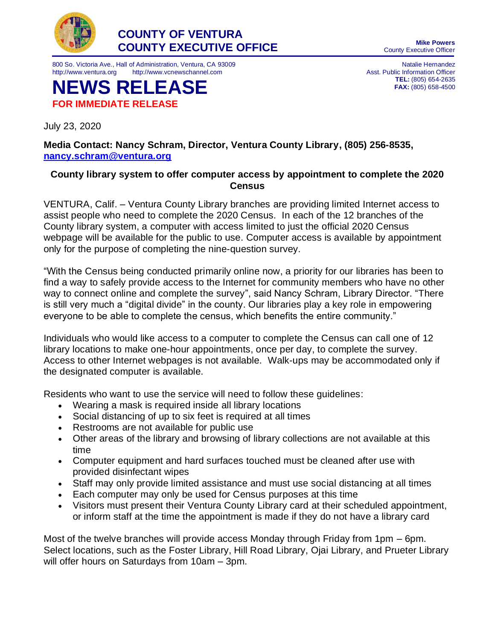

800 So. Victoria Ave., Hall of Administration, Ventura, CA 93009 http://www.ventura.org http://www.vcnewschannel.com

**NEWS RELEASE FOR IMMEDIATE RELEASE**

July 23, 2020

County Executive Officer

Natalie Hernandez Asst. Public Information Officer **TEL:** (805) 654-2635 **FAX:** (805) 658-4500

**Media Contact: Nancy Schram, Director, Ventura County Library, (805) 256-8535, [nancy.schram@ventura.org](mailto:nancy.schram@ventura.org)**

## **County library system to offer computer access by appointment to complete the 2020 Census**

VENTURA, Calif. – Ventura County Library branches are providing limited Internet access to assist people who need to complete the 2020 Census. In each of the 12 branches of the County library system, a computer with access limited to just the official 2020 Census webpage will be available for the public to use. Computer access is available by appointment only for the purpose of completing the nine-question survey.

"With the Census being conducted primarily online now, a priority for our libraries has been to find a way to safely provide access to the Internet for community members who have no other way to connect online and complete the survey", said Nancy Schram, Library Director. "There is still very much a "digital divide" in the county. Our libraries play a key role in empowering everyone to be able to complete the census, which benefits the entire community."

Individuals who would like access to a computer to complete the Census can call one of 12 library locations to make one-hour appointments, once per day, to complete the survey. Access to other Internet webpages is not available. Walk-ups may be accommodated only if the designated computer is available.

Residents who want to use the service will need to follow these guidelines:

- Wearing a mask is required inside all library locations
- Social distancing of up to six feet is required at all times
- Restrooms are not available for public use
- Other areas of the library and browsing of library collections are not available at this time
- Computer equipment and hard surfaces touched must be cleaned after use with provided disinfectant wipes
- Staff may only provide limited assistance and must use social distancing at all times
- Each computer may only be used for Census purposes at this time
- Visitors must present their Ventura County Library card at their scheduled appointment, or inform staff at the time the appointment is made if they do not have a library card

Most of the twelve branches will provide access Monday through Friday from 1pm – 6pm. Select locations, such as the Foster Library, Hill Road Library, Ojai Library, and Prueter Library will offer hours on Saturdays from 10am – 3pm.